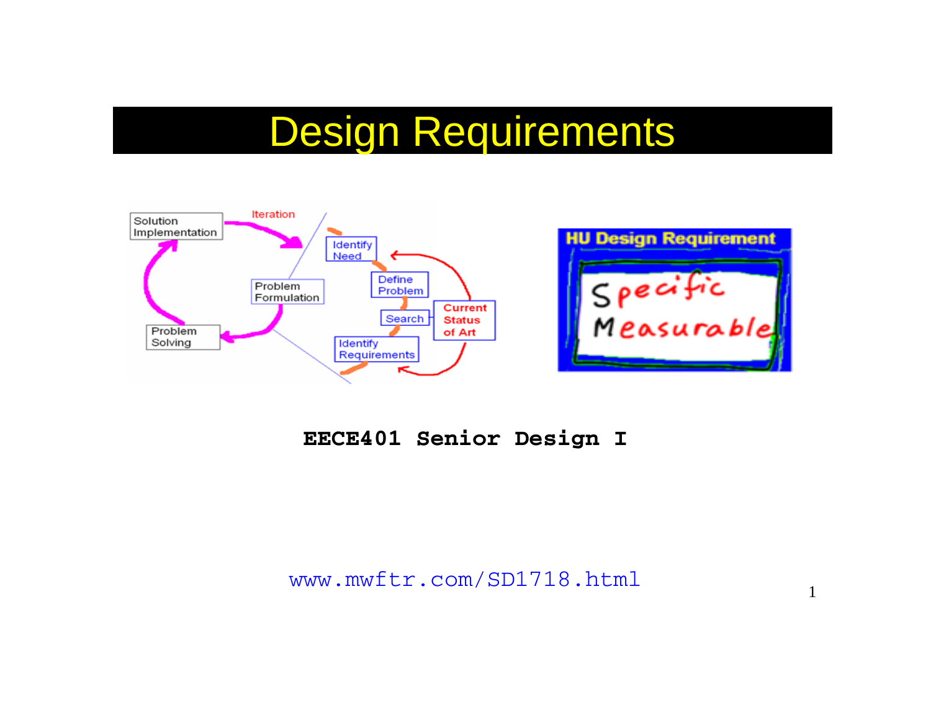# Design Requirements



#### **EECE401 Senior Design I**

www.mwftr.com/SD1718.html 1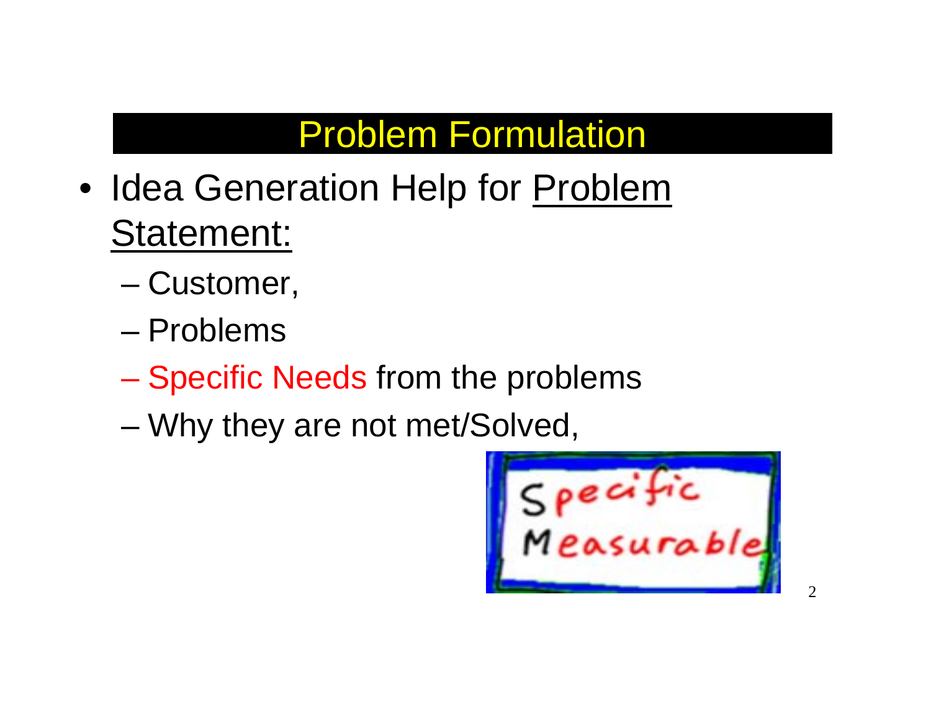# Problem Formulation

- Idea Generation Help for Problem Statement:
	- –Customer,
	- Problems
	- Specific Needs from the problems
	- –Why they are not met/Solved,

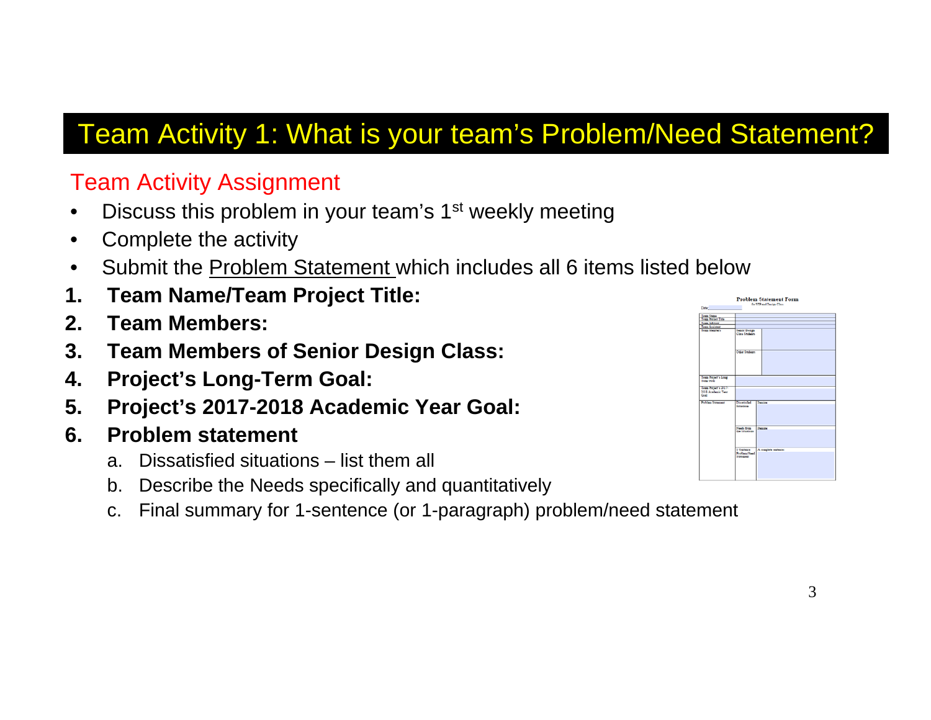### Team Activity 1: What is your team's Problem/Need Statement?

#### Team Activity Assignment

- •Discuss this problem in your team's 1<sup>st</sup> weekly meeting
- •Complete the activity
- •Submit the Problem Statement which includes all 6 items listed below
- **1. Team Name/Team Project Title:**
- **2. Team Members:**
- **3. Team Members of Senior Design Class:**
- **4. Project's Long-Term Goal:**
- **5. Project's 2017-2018 Academic Year Goal:**
- **6. Problem statement**
	- a. Dissatisfied situations list them all
	- b. Describe the Needs specifically and quantitatively
	- c. Final summary for 1-sentence (or 1-paragraph) problem/need statement

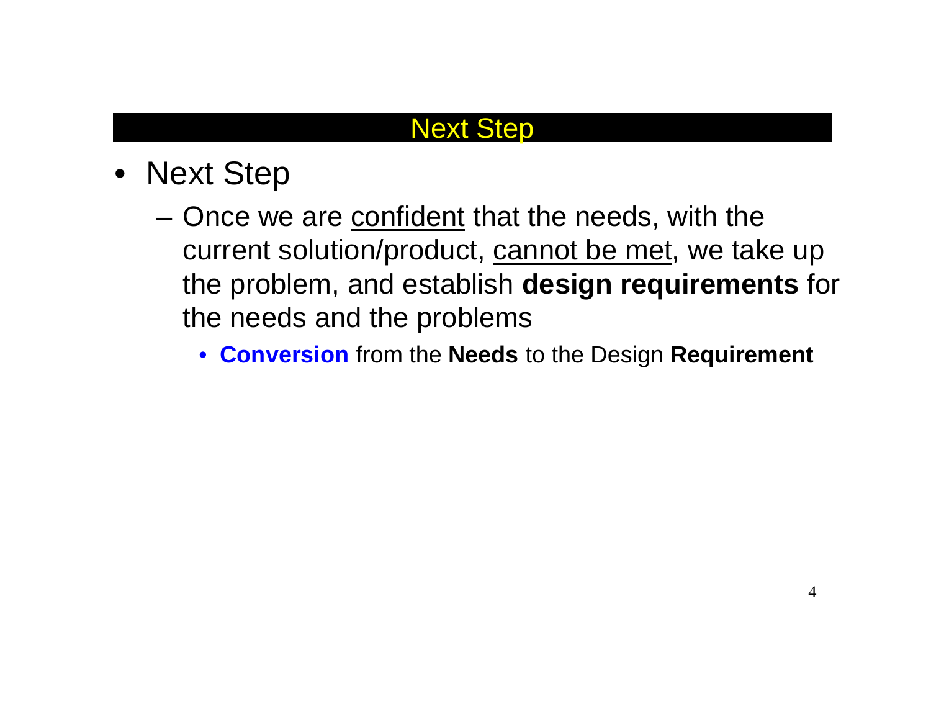#### Next Step

- Next Step
	- –Once we are confident that the needs, with the current solution/product, cannot be met, we take up the problem, and establish **design requirements** for the needs and the problems
		- **Conversion** from the **Needs** to the Design **Requirement**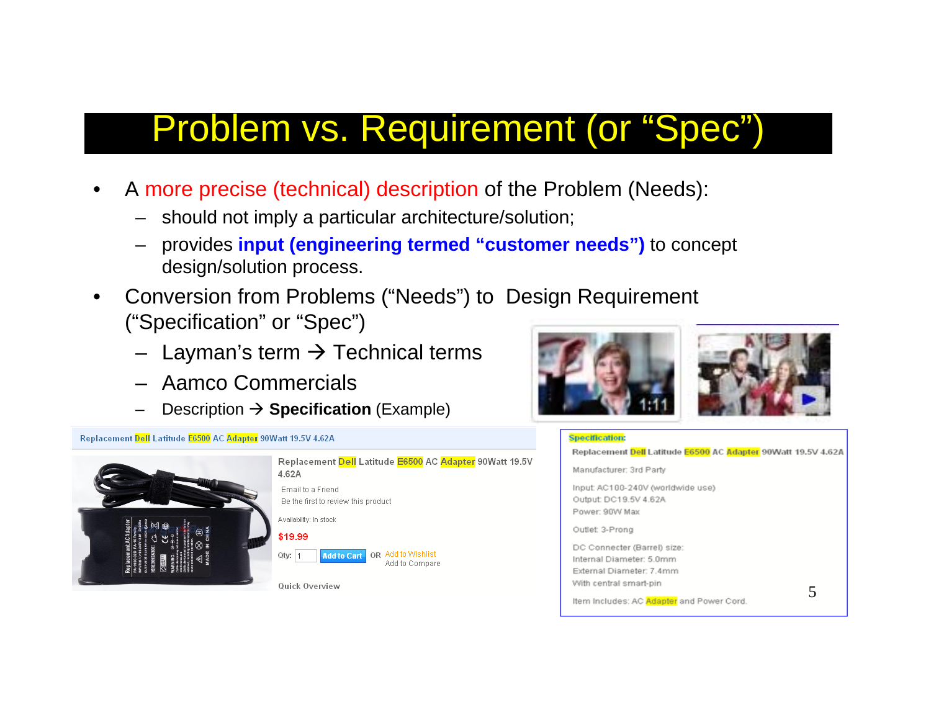### Problem vs. Requirement (or "Spec")

- • A more precise (technical) description of the Problem (Needs):
	- should not imply a particular architecture/solution;
	- provides **input (engineering termed "customer needs")** to concept design/solution process.
- • Conversion from Problems ("Needs") to Design Requirement ("Specification" or "Spec")
	- $\,$  Layman's term  $\rightarrow$  Technical terms
	- Aamco Commercials
	- Description → **Specification** (Example)







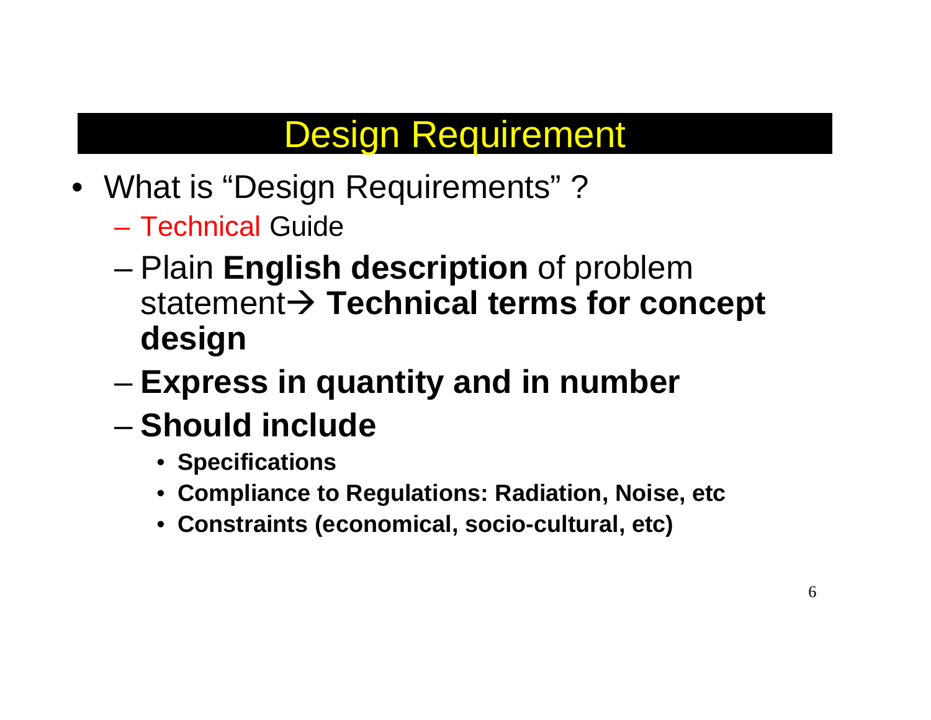### Design Requirement

- What is "Design Requirements" ?
	- Technical Guide
	- – Plain **English description** of problem statement Æ **Technical terms for concept design**
	- –**Express in quantity and in number**
	- **Should include**
		- **Specifications**
		- **Compliance to Regulations: Radiation, Noise, etc**
		- **Constraints (economical, socio-cultural, etc)**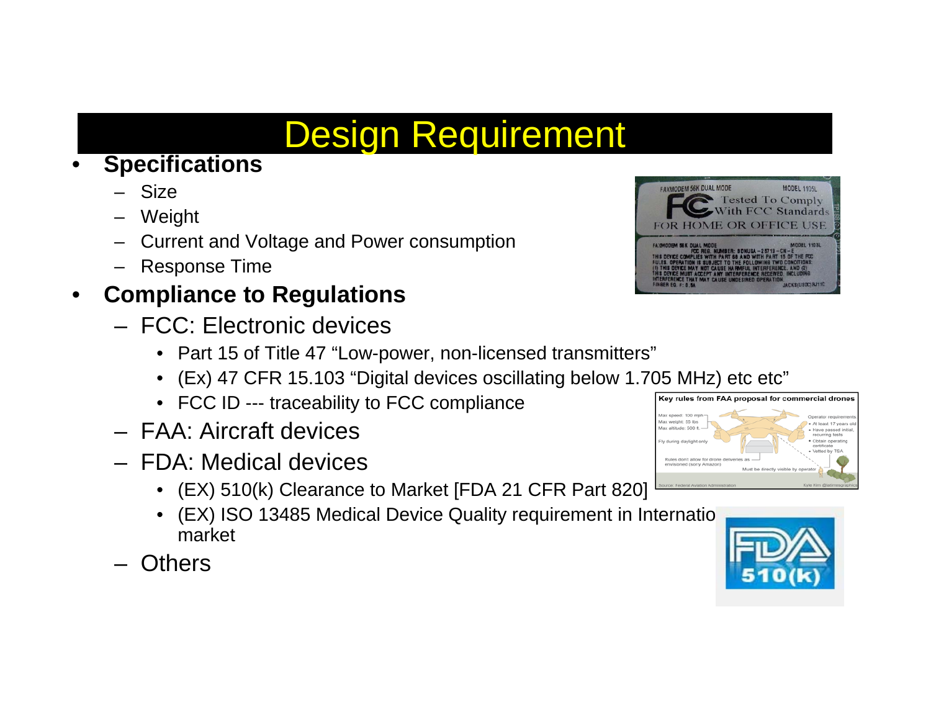# Design Requirement

#### •**Specifications**

- Size
- Weight
- Current and Voltage and Power consumption
- Response Time

#### $\bullet$ **Compliance to Regulations**

- FCC: Electronic devices
	- Part 15 of Title 47 "Low-power, non-licensed transmitters"
	- $\bullet$ (Ex) 47 CFR 15.103 "Digital devices oscillating below 1.705 MHz) etc etc"
	- FCC ID --- traceability to FCC compliance
- FAA: Aircraft devices
- FDA: Medical devices
	- (EX) 510(k) Clearance to Market [FDA 21 CFR Part 820]
	- (EX) ISO 13485 Medical Device Quality requirement in Internation market
- **Others**



Rules don't allow for drone ed (sorry Amazor



Obtain

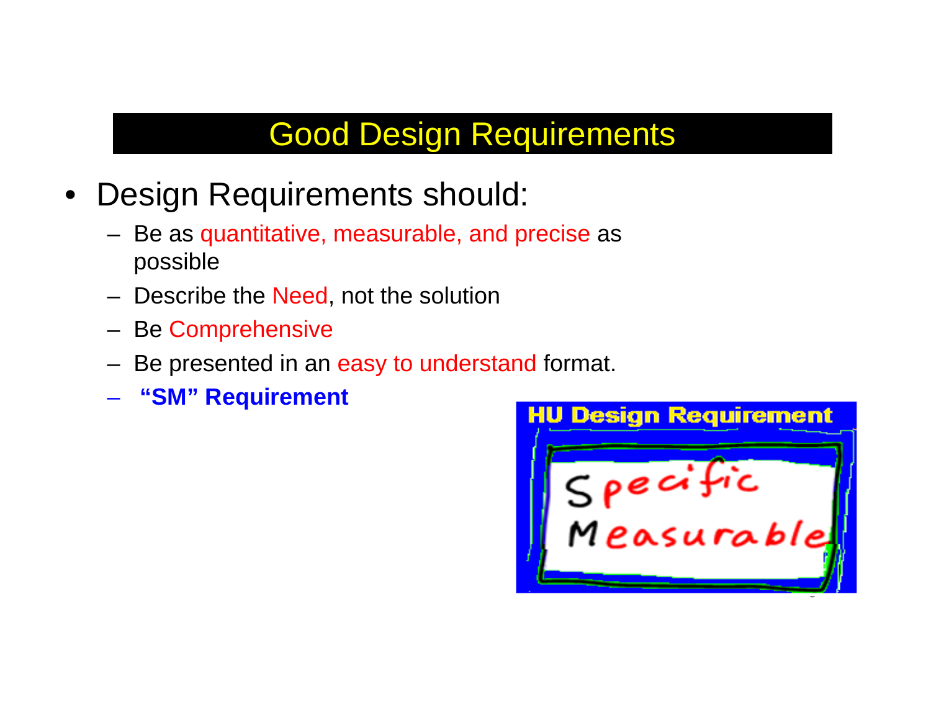### Good Design Requirements

- $\bullet$  Design Requirements should:
	- Be as quantitative, measurable, and precise as possible
	- Describe the <mark>Need</mark>, not the solution
	- Be Comprehensive
	- Be presented in an easy to understand format.
	- **"SM" Requirement**

**HU Design Requirement** Specific<br>Measurable 8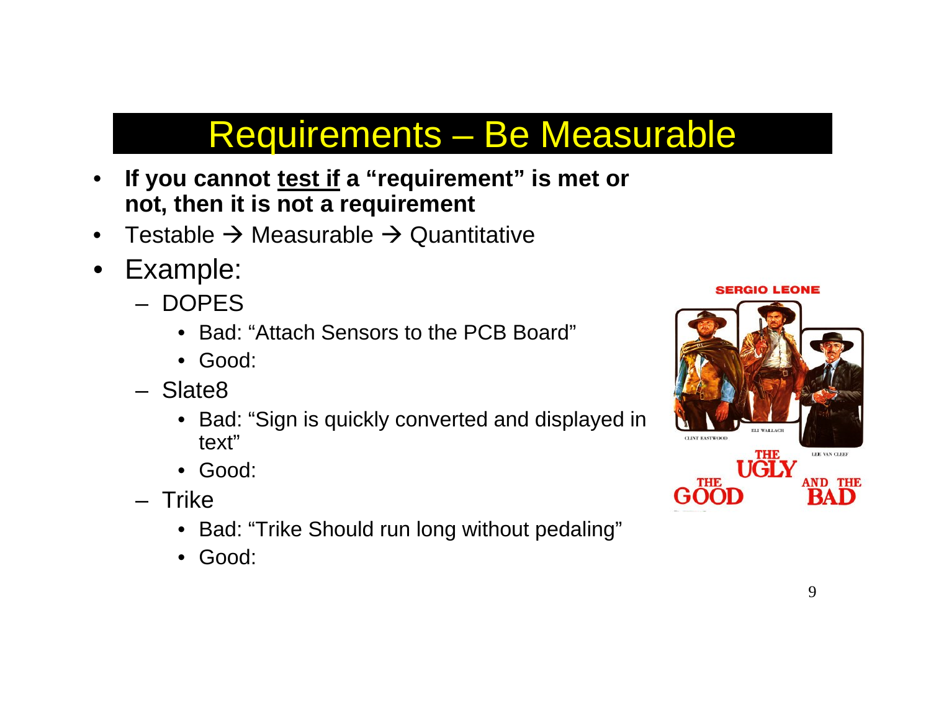### Requirements – Be Measurable

- •If you cannot test if a "requirement" is met or **not, then it is not a requirement**
- •Testable  $\rightarrow$  Measurable  $\rightarrow$  Quantitative
- $\bullet$  Example:
	- DOPES
		- Bad: "Attach Sensors to the PCB Board"
		- Good:
	- Slate8
		- Bad: "Sign is quickly converted and displayed in text"
		- Good:
	- Trike
		- Bad: "Trike Should run long without pedaling"
		- Good:

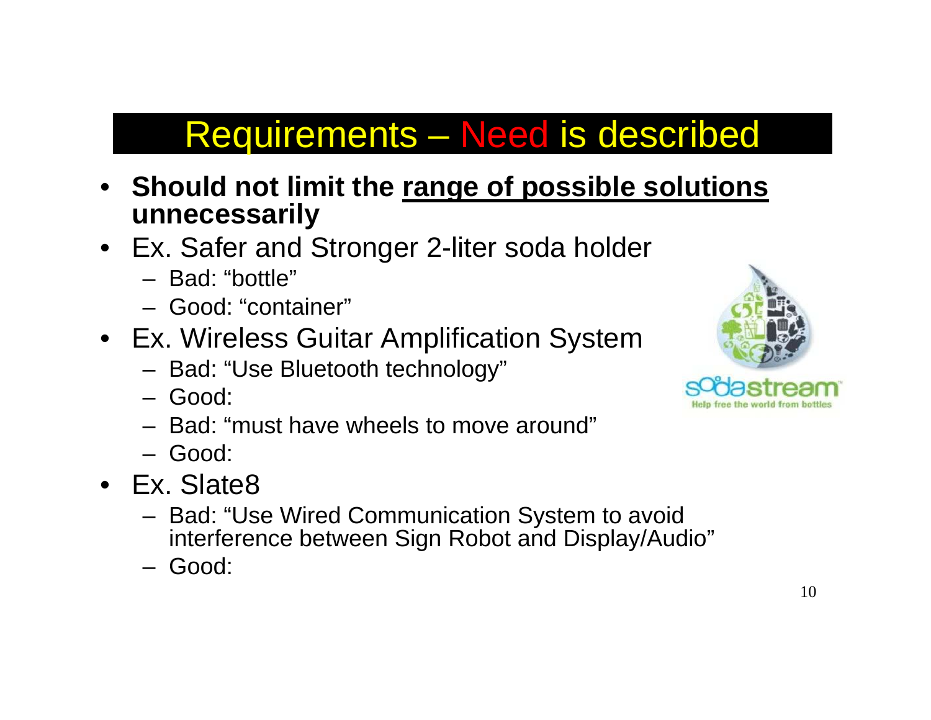### Requirements – Need is described

- • **Should not limit the range of possible solutions unnecessarily**
- Ex. Safer and Stronger 2-liter soda holder
	- Bad: "bottle"
	- Good: "container"
- Ex. Wireless Guitar Amplification System
	- Bad: "Use Bluetooth technology"
	- Good:
	- Bad: "must have wheels to move around"
	- Good:
- Ex. Slate8
	- Bad: "Use Wired Communication System to avoid interference between Sign Robot and Display/Audio"
	- Good:

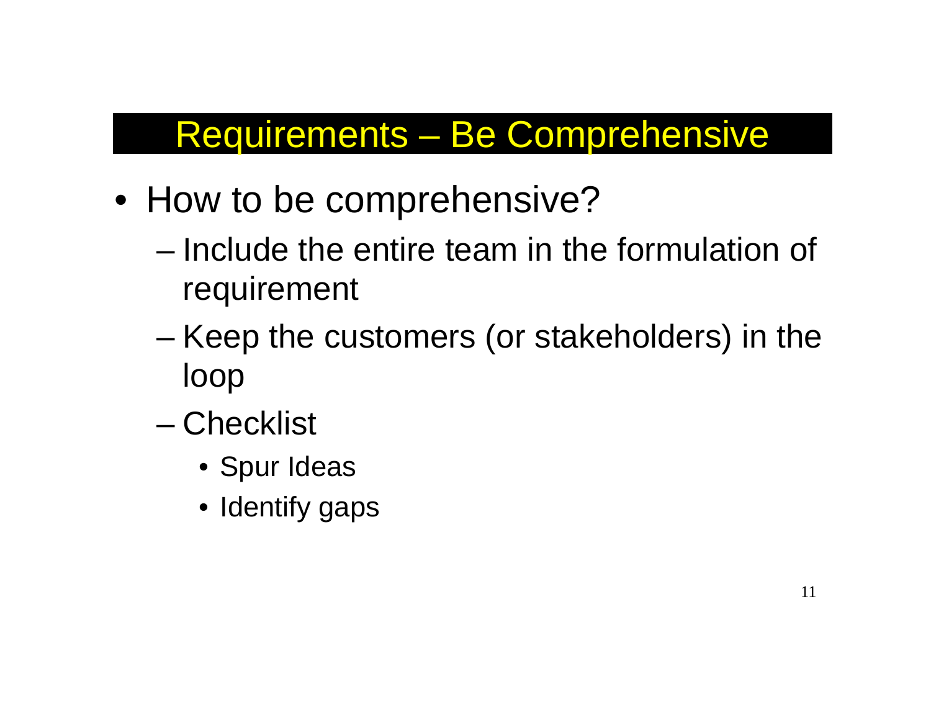### Requirements – Be Comprehensive

- How to be comprehensive?
	- Include the entire team in the formulation of requirement
	- – Keep the customers (or stakeholders) in the loop
	- Checklist
		- Spur Ideas
		- Identify gaps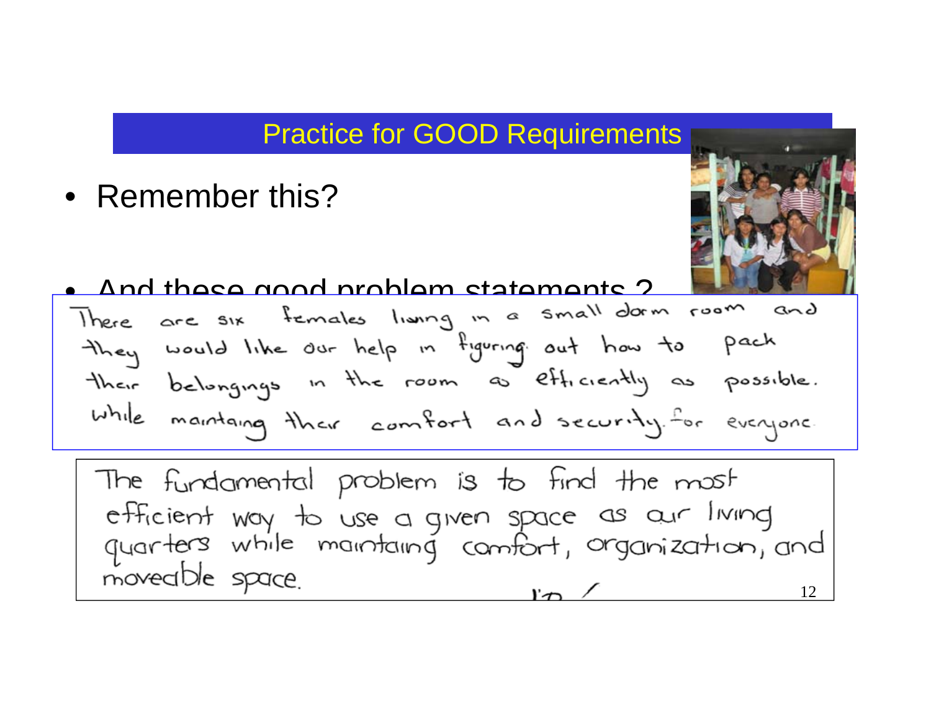#### Practice for GOOD Requirements

• Remember this?



### $\bullet$  And these good problem statements ?

they would like our help in figuring out how to pach their belongings in the room as efficiently as possible. while maintaing their comfort and security. for everyone.

The fundamental problem is to find the most efficient way to use a given space as our living<br>quarters while maintaing comfort, organization, and moveable space. 12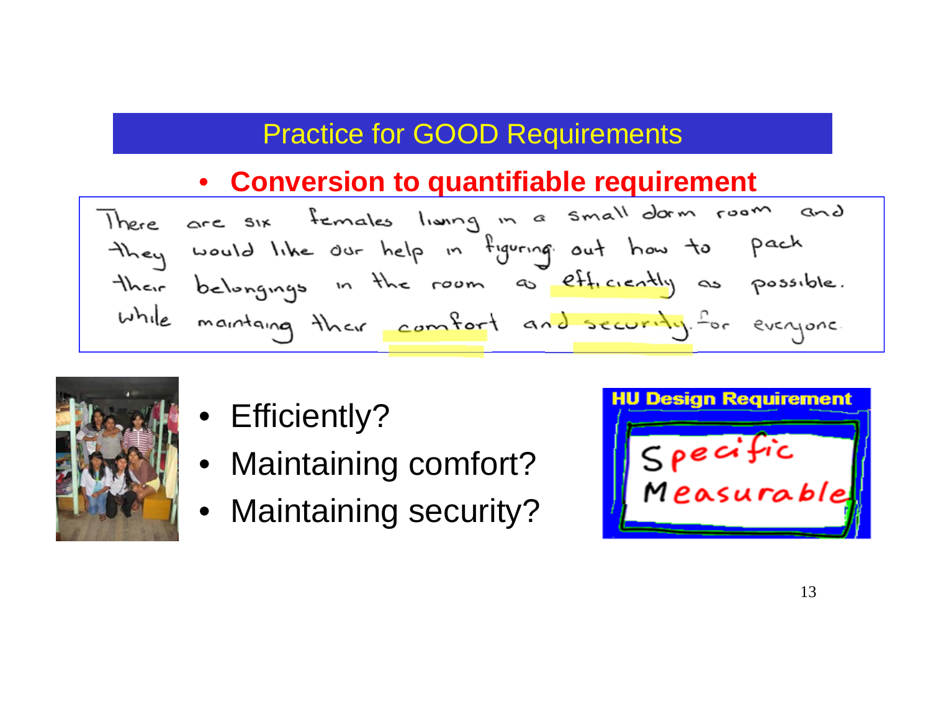### Practice for GOOD Requirements

### •

**Conversion to quantifiable requirement**<br>There are six females living in a small dam resm and they would like our help in figuring out how to pach their belongings in the room as efficiently as possible. while maintaing their comfort and security. For everyone.



- Efficiently?
- Maintaining comfort?
- Maintaining security?

| pecific<br>Measurable |
|-----------------------|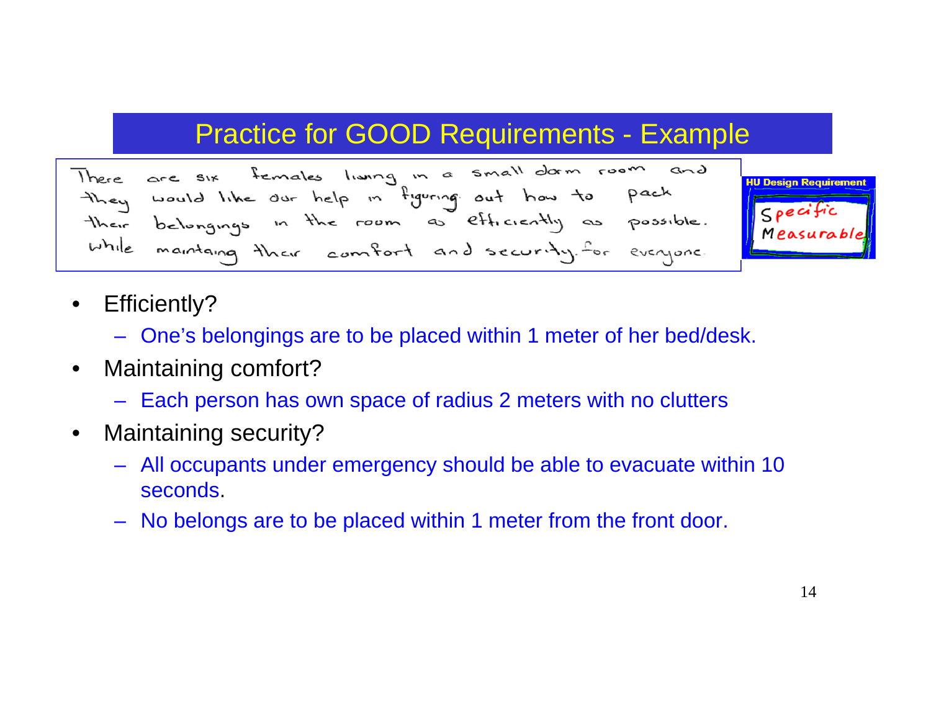### Practice for GOOD Requirements - Example





- $\bullet$  Efficiently?
	- One's belongings are to be placed within 1 meter of her bed/desk.
- $\bullet$  Maintaining comfort?
	- Each person has own space of radius 2 meters with no clutters
- $\bullet$  Maintaining security?
	- All occupants under emergency should be able to evacuate within 10 seconds.
	- No belongs are to be placed within 1 meter from the front door.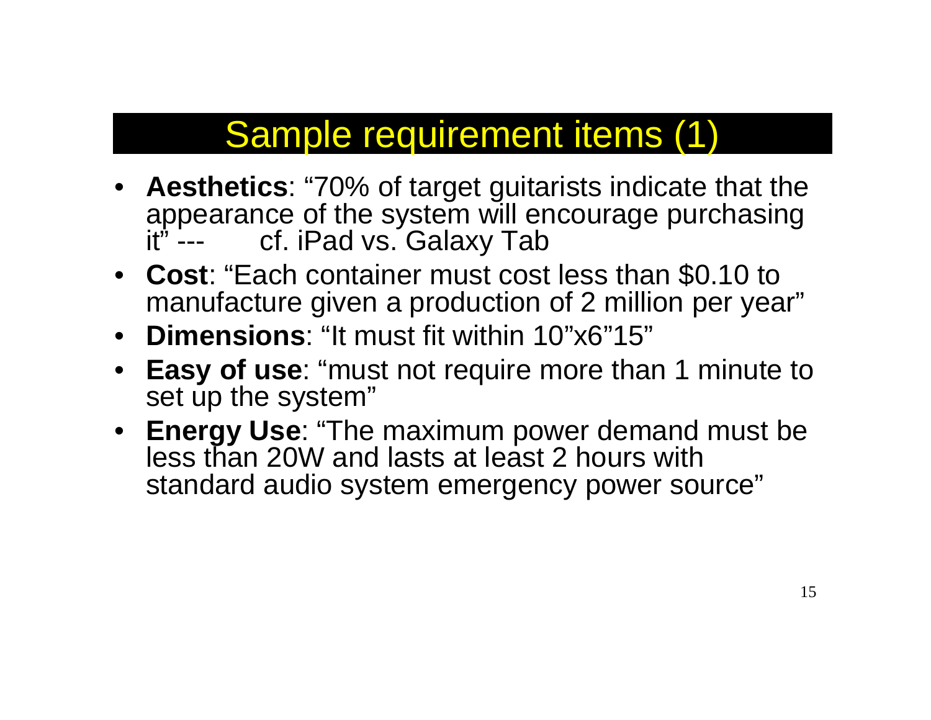### Sample requirement items (1)

- **Aesthetics**: "70% of target guitarists indicate that the appearance of the system will encourage purchasing cf. iPad vs. Galaxy Tab
- **Cost**: "Each container must cost less than \$0.10 to manufacture given a production of 2 million per year"
- **Dimensions**: "It must fit within 10"x6"15"
- **Easy of use**: "must not require more than 1 minute to set up the system"
- **Energy Use**: "The maximum power demand must be less than 20W and lasts at least 2 hours with standard audio system emergency power source"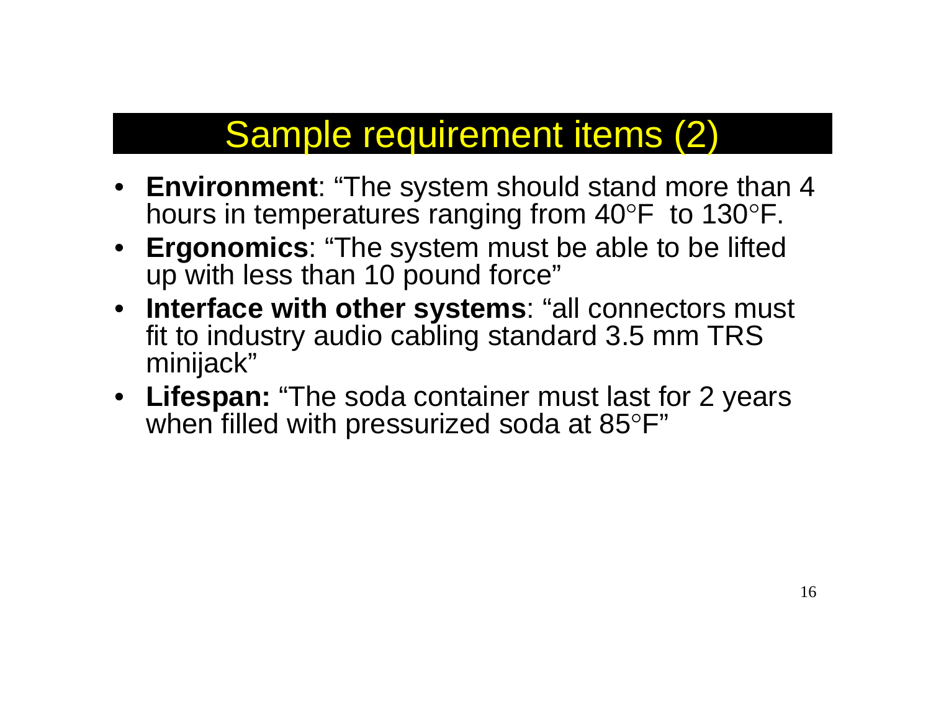### Sample requirement items (2)

- **Environment**: "The system should stand more than 4 hours in temperatures ranging from 40°F to 130°F.
- **Ergonomics**: "The system must be able to be lifted up with less than 10 pound force"
- **Interface with other systems**: "all connectors must fit to industry audio cabling standard 3.5 mm TRS minijack"
- **Lifespan:** "The soda container must last for 2 years when filled with pressurized soda at 85°F"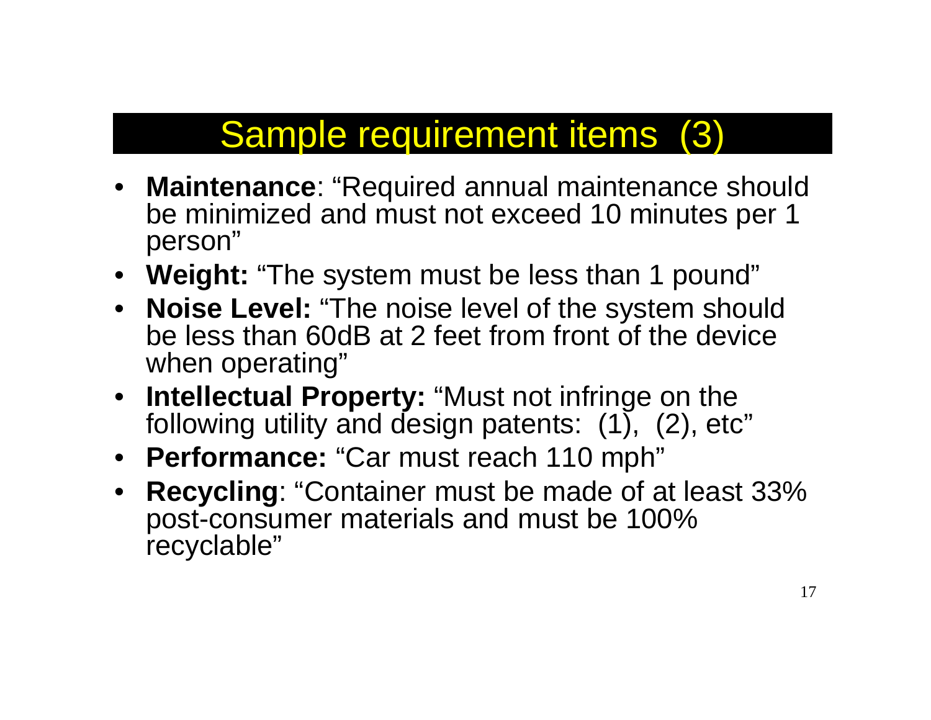## Sample requirement items (3)

- **Maintenance**: "Required annual maintenance should be minimized and must not exceed 10 minutes per 1 person"
- **Weight:** "The system must be less than 1 pound"
- **Noise Level:** "The noise level of the system should be less than 60dB at 2 feet from front of the device when operating"
- **Intellectual Property:** "Must not infringe on the following utility and design patents:  $(1)$ ,  $(2)$ , etc"
- **Performance:** "Car must reach 110 mph"
- • **Recycling**: "Container must be made of at least 33% post-consumer materials and must be 100% recyclable"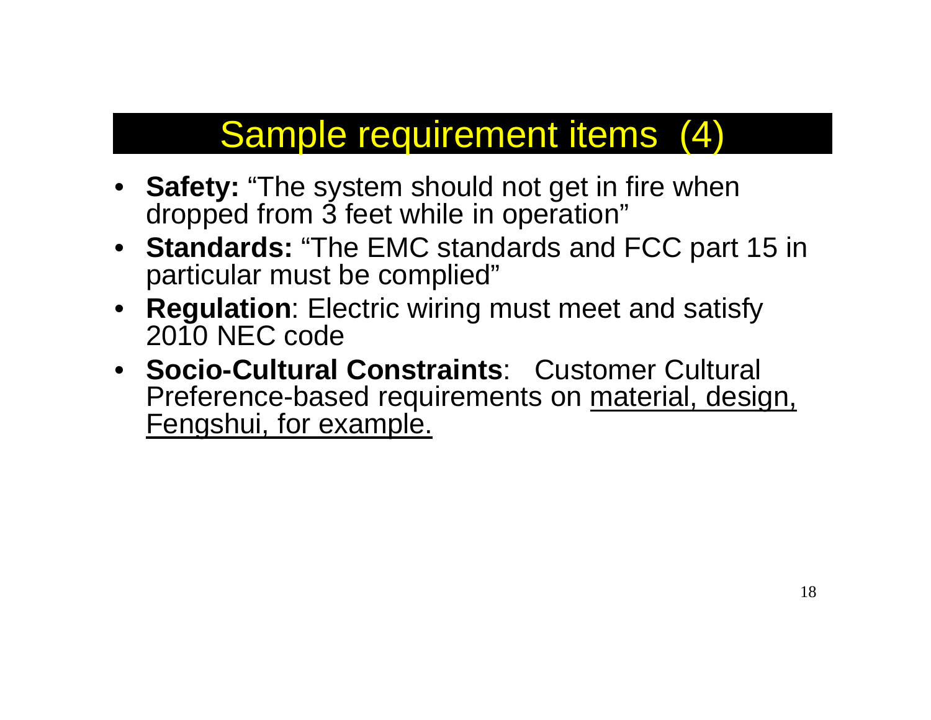### Sample requirement items (4)

- **Safety:** "The system should not get in fire when dropped from 3 feet while in operation"
- **Standards:** "The EMC standards and FCC part 15 in particular must be complied"
- **Regulation**: Electric wiring must meet and satisfy 2010 NEC code
- **Socio-Cultural Constraints**: Customer Cultural Preference-based requirements on material, design, Fengshui, for example.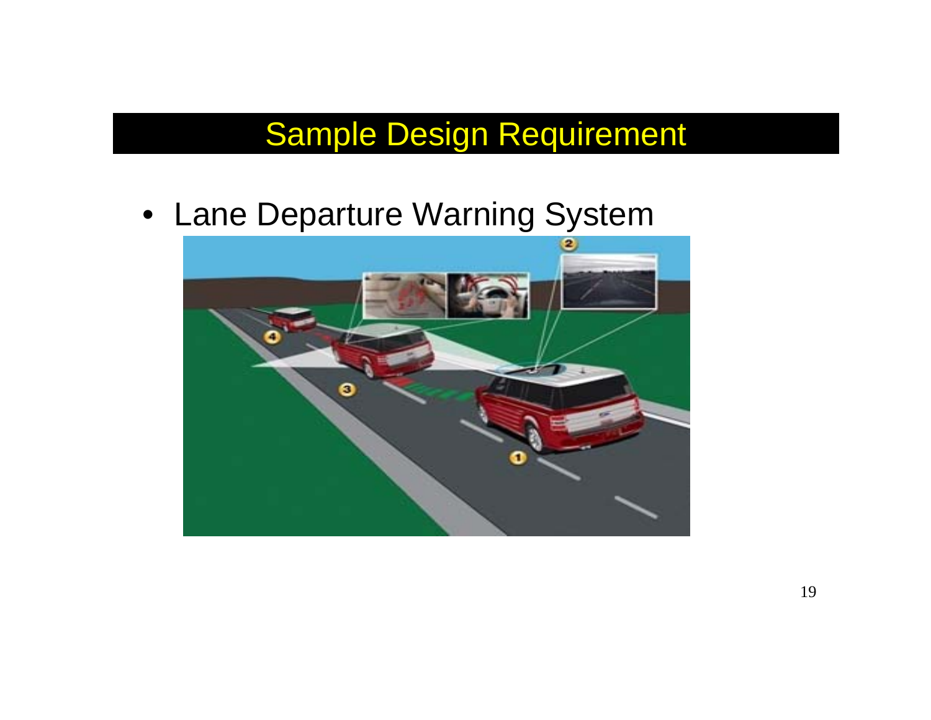• Lane Departure Warning System

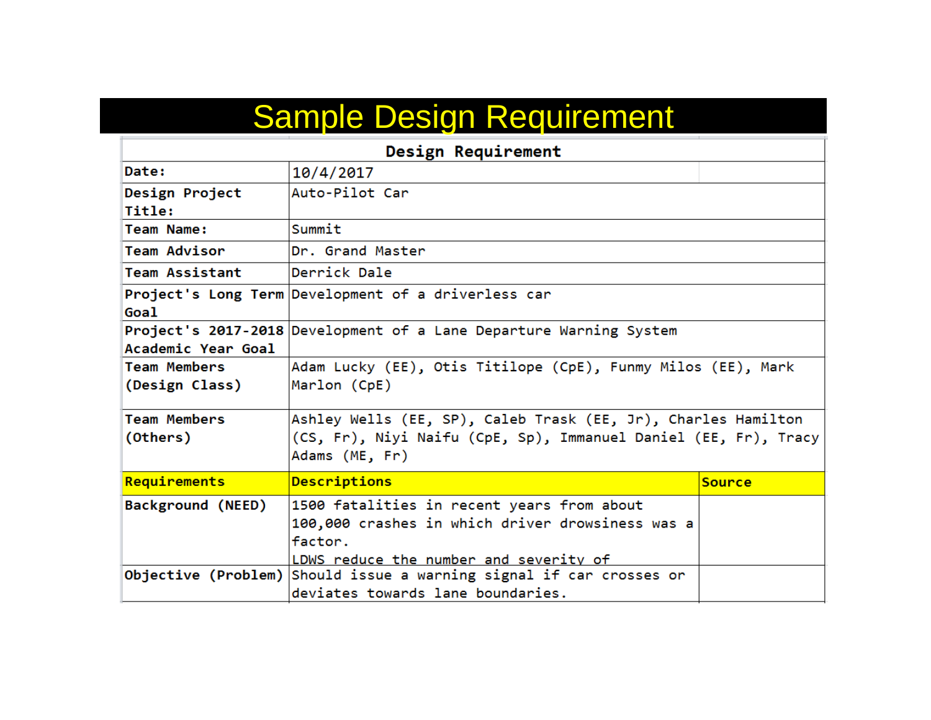| Design Requirement    |                                                                     |               |  |  |
|-----------------------|---------------------------------------------------------------------|---------------|--|--|
| Date:                 | 10/4/2017                                                           |               |  |  |
| Design Project        | Auto-Pilot Car                                                      |               |  |  |
| Title:                |                                                                     |               |  |  |
| Team Name:            | Summit                                                              |               |  |  |
| <b>Team Advisor</b>   | Dr. Grand Master                                                    |               |  |  |
| <b>Team Assistant</b> | Derrick Dale                                                        |               |  |  |
|                       | Project's Long Term Development of a driverless car                 |               |  |  |
| Goal                  |                                                                     |               |  |  |
|                       | Project's 2017-2018 Development of a Lane Departure Warning System  |               |  |  |
| Academic Year Goal    |                                                                     |               |  |  |
| <b>Team Members</b>   | Adam Lucky (EE), Otis Titilope (CpE), Funmy Milos (EE), Mark        |               |  |  |
| (Design Class)        | Marlon (CpE)                                                        |               |  |  |
| <b>Team Members</b>   | Ashley Wells (EE, SP), Caleb Trask (EE, Jr), Charles Hamilton       |               |  |  |
| (Others)              | (CS, Fr), Niyi Naifu (CpE, Sp), Immanuel Daniel (EE, Fr), Tracy     |               |  |  |
|                       | Adams (ME, Fr)                                                      |               |  |  |
| Requirements          | Descriptions                                                        | <b>Source</b> |  |  |
| Background (NEED)     | 1500 fatalities in recent years from about                          |               |  |  |
|                       | 100,000 crashes in which driver drowsiness was a                    |               |  |  |
|                       | factor.                                                             |               |  |  |
|                       | LDWS reduce the number and severity of                              |               |  |  |
|                       | Objective (Problem) Should issue a warning signal if car crosses or |               |  |  |
|                       | deviates towards lane boundaries.                                   |               |  |  |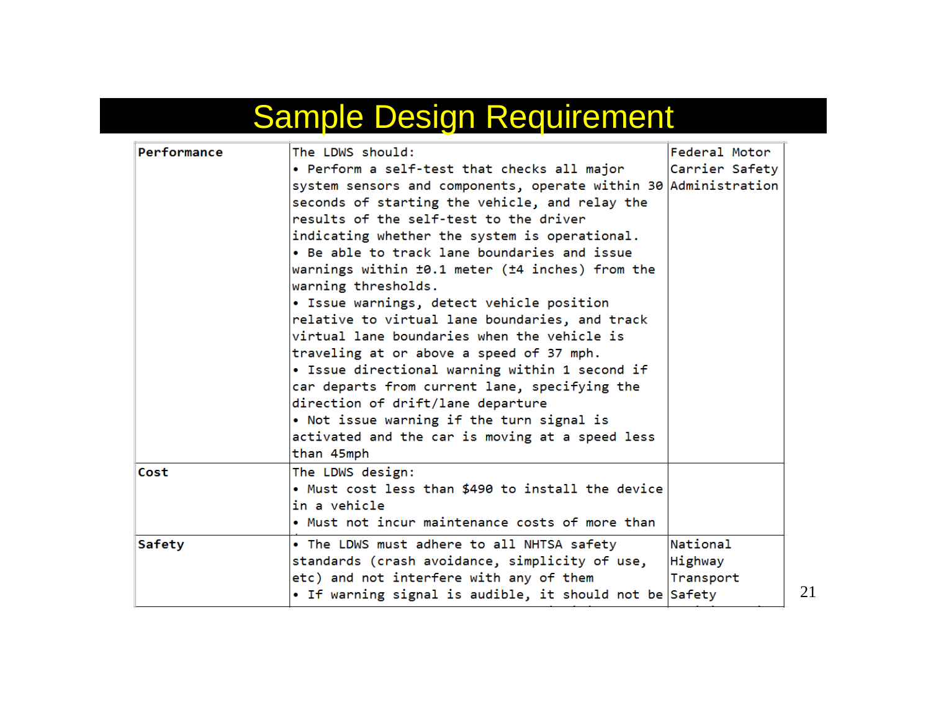| Performance | The LDWS should:                                                | Federal Motor  |
|-------------|-----------------------------------------------------------------|----------------|
|             | • Perform a self-test that checks all major                     | Carrier Safety |
|             | system sensors and components, operate within 30 Administration |                |
|             | seconds of starting the vehicle, and relay the                  |                |
|             | results of the self-test to the driver                          |                |
|             | indicating whether the system is operational.                   |                |
|             | • Be able to track lane boundaries and issue                    |                |
|             | warnings within ±0.1 meter (±4 inches) from the                 |                |
|             | warning thresholds.                                             |                |
|             | • Issue warnings, detect vehicle position                       |                |
|             | relative to virtual lane boundaries, and track                  |                |
|             | virtual lane boundaries when the vehicle is                     |                |
|             | traveling at or above a speed of 37 mph.                        |                |
|             | • Issue directional warning within 1 second if                  |                |
|             | car departs from current lane, specifying the                   |                |
|             | direction of drift/lane departure                               |                |
|             | • Not issue warning if the turn signal is                       |                |
|             | activated and the car is moving at a speed less                 |                |
|             | than 45mph                                                      |                |
| Cost        | The LDWS design:                                                |                |
|             | • Must cost less than \$490 to install the device               |                |
|             | in a vehicle                                                    |                |
|             | • Must not incur maintenance costs of more than                 |                |
| Safety      | . The LDWS must adhere to all NHTSA safety                      | National       |
|             | standards (crash avoidance, simplicity of use,                  | Highway        |
|             | etc) and not interfere with any of them                         | Transport      |
|             | • If warning signal is audible, it should not be Safety         |                |
|             |                                                                 |                |

21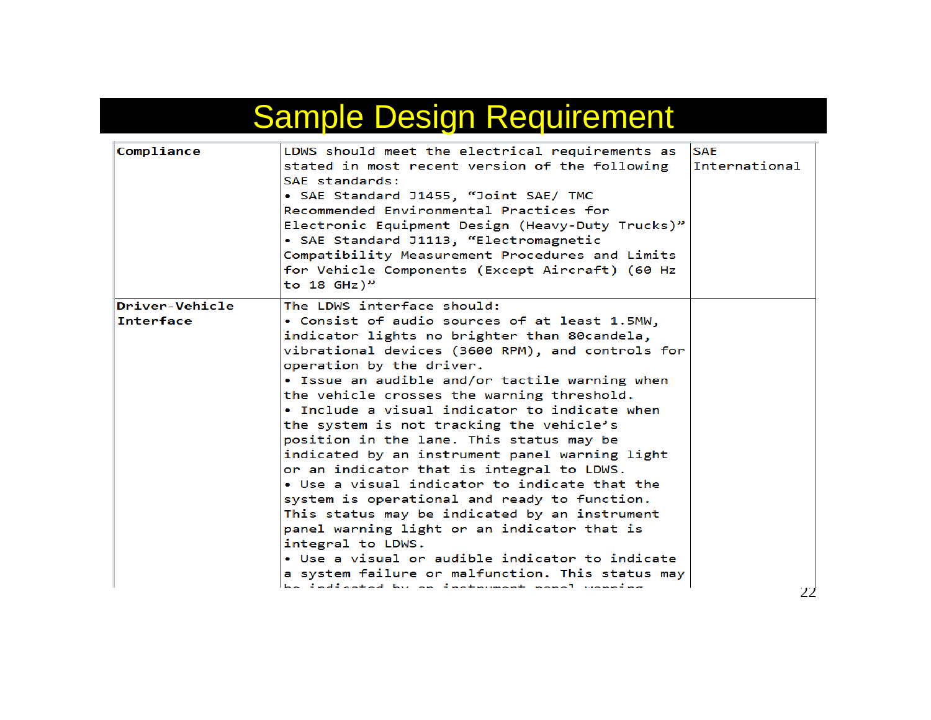| Compliance                         | LDWS should meet the electrical requirements as<br>stated in most recent version of the following<br>SAE standards:<br>• SAE Standard J1455, "Joint SAE/ TMC<br>Recommended Environmental Practices for<br>Electronic Equipment Design (Heavy-Duty Trucks)"<br>• SAE Standard J1113, "Electromagnetic<br>Compatibility Measurement Procedures and Limits<br>for Vehicle Components (Except Aircraft) (60 Hz<br>to 18 $GHZ)$ " | <b>SAE</b><br>International |
|------------------------------------|-------------------------------------------------------------------------------------------------------------------------------------------------------------------------------------------------------------------------------------------------------------------------------------------------------------------------------------------------------------------------------------------------------------------------------|-----------------------------|
| Driver-Vehicle<br><b>Interface</b> | The LDWS interface should:<br>• Consist of audio sources of at least 1.5MW,                                                                                                                                                                                                                                                                                                                                                   |                             |
|                                    | indicator lights no brighter than 80candela,<br>vibrational devices (3600 RPM), and controls for<br>operation by the driver.<br>• Issue an audible and/or tactile warning when<br>the vehicle crosses the warning threshold.<br>• Include a visual indicator to indicate when<br>the system is not tracking the vehicle's                                                                                                     |                             |
|                                    | position in the lane. This status may be<br>indicated by an instrument panel warning light<br>or an indicator that is integral to LDWS.<br>• Use a visual indicator to indicate that the                                                                                                                                                                                                                                      |                             |
|                                    | system is operational and ready to function.<br>This status may be indicated by an instrument<br>panel warning light or an indicator that is<br>integral to LDWS.                                                                                                                                                                                                                                                             |                             |
|                                    | • Use a visual or audible indicator to indicate                                                                                                                                                                                                                                                                                                                                                                               |                             |
|                                    | a system failure or malfunction. This status may<br>be indicated by an instrument nanal wanning                                                                                                                                                                                                                                                                                                                               |                             |
|                                    |                                                                                                                                                                                                                                                                                                                                                                                                                               | 22                          |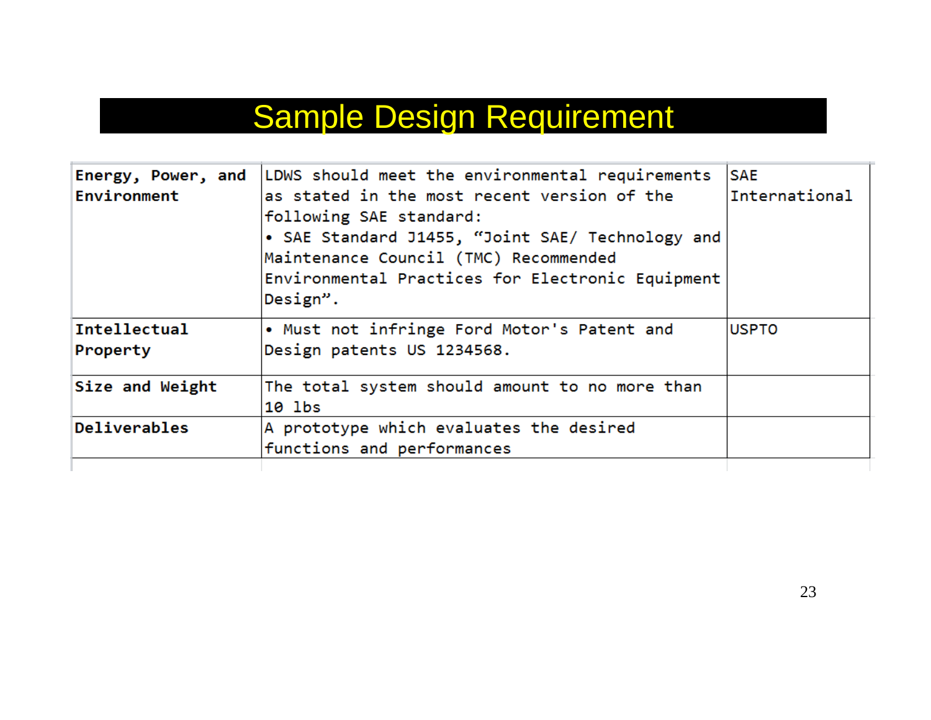|                 | Energy, Power, and   LDWS should meet the environmental requirements | <b>SAE</b>    |
|-----------------|----------------------------------------------------------------------|---------------|
| Environment     | as stated in the most recent version of the                          | International |
|                 | following SAE standard:                                              |               |
|                 | • SAE Standard J1455, "Joint SAE/ Technology and                     |               |
|                 | Maintenance Council (TMC) Recommended                                |               |
|                 | Environmental Practices for Electronic Equipment                     |               |
|                 | Design".                                                             |               |
| Intellectual    | • Must not infringe Ford Motor's Patent and                          | <b>USPTO</b>  |
| Property        | Design patents US 1234568.                                           |               |
| Size and Weight | The total system should amount to no more than                       |               |
|                 | 10 lbs                                                               |               |
| Deliverables    | A prototype which evaluates the desired                              |               |
|                 | functions and performances                                           |               |
|                 |                                                                      |               |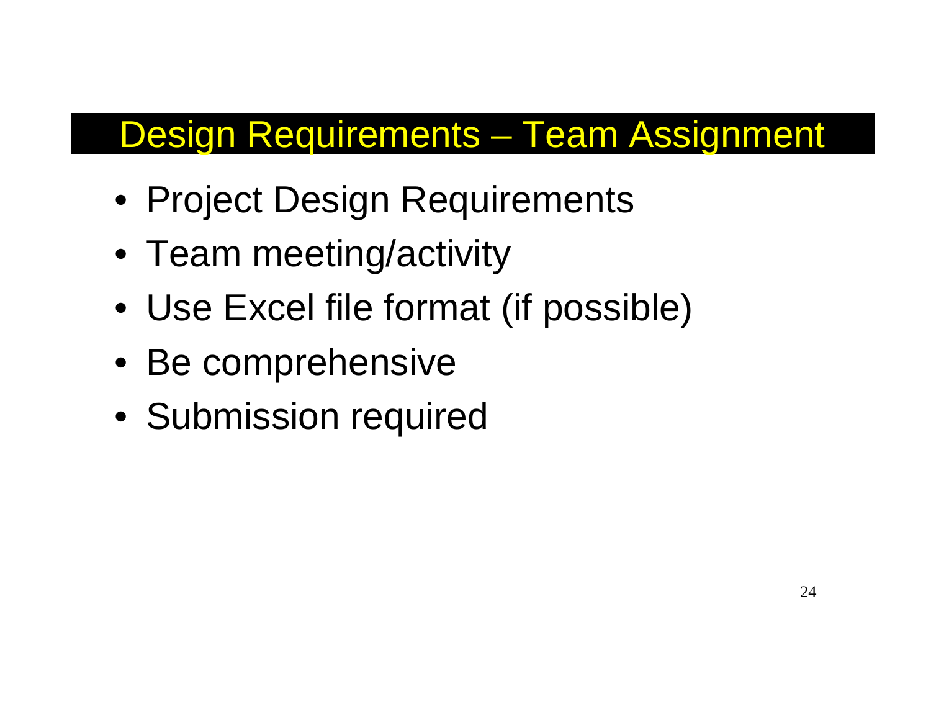## Design Requirements – Team Assignment

- Project Design Requirements
- Team meeting/activity
- Use Excel file format (if possible)
- Be comprehensive
- Submission required